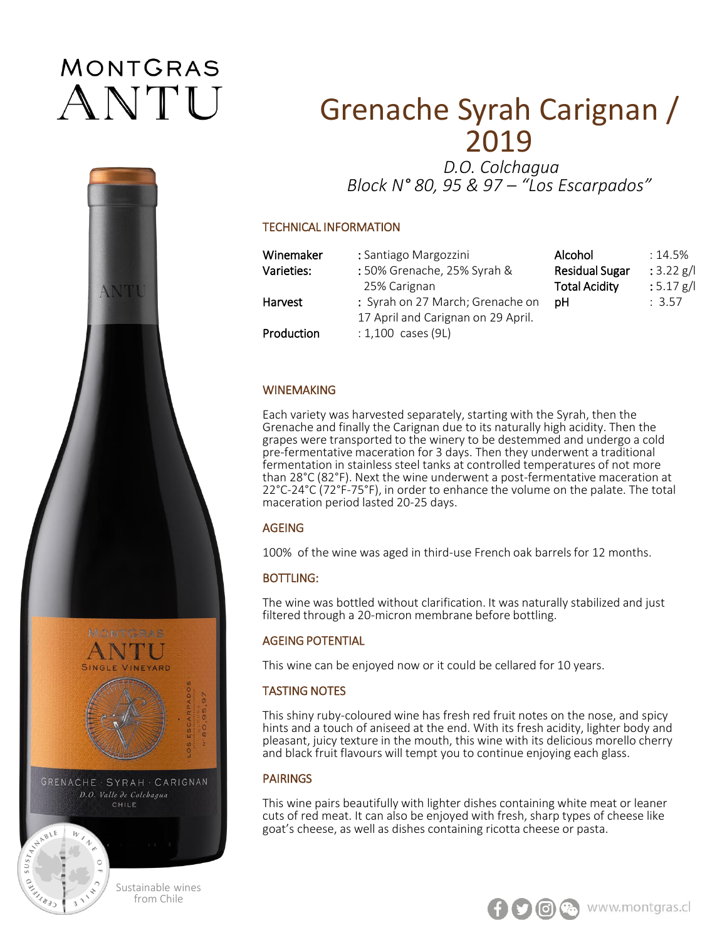# **MONTGRAS** ANTU



Sustainable wines from Chile

# Grenache Syrah Carignan / 2019

*D.O. Colchagua Block N° 80, 95 & 97 – "Los Escarpados"*

#### TECHNICAL INFORMATION

| Winemaker  | : Santiago Margozzini              | Alcohol               | $:14.5\%$    |
|------------|------------------------------------|-----------------------|--------------|
| Varieties: | : 50% Grenache, 25% Syrah &        | <b>Residual Sugar</b> | : $3.22$ g/l |
|            | 25% Carignan                       | <b>Total Acidity</b>  | $: 5.17$ g/l |
| Harvest    | : Syrah on 27 March; Grenache on   | рH                    | : 3.57       |
|            | 17 April and Carignan on 29 April. |                       |              |
| Production | $: 1,100$ cases (9L)               |                       |              |

#### WINEMAKING

Each variety was harvested separately, starting with the Syrah, then the Grenache and finally the Carignan due to its naturally high acidity. Then the grapes were transported to the winery to be destemmed and undergo a cold pre-fermentative maceration for 3 days. Then they underwent a traditional fermentation in stainless steel tanks at controlled temperatures of not more than 28°C (82°F). Next the wine underwent a post-fermentative maceration at 22°C-24°C (72°F-75°F), in order to enhance the volume on the palate. The total maceration period lasted 20-25 days.

# AGEING

100% of the wine was aged in third-use French oak barrels for 12 months.

# BOTTLING:

The wine was bottled without clarification. It was naturally stabilized and just filtered through a 20-micron membrane before bottling.

#### AGEING POTENTIAL

This wine can be enjoyed now or it could be cellared for 10 years.

# TASTING NOTES

This shiny ruby-coloured wine has fresh red fruit notes on the nose, and spicy hints and a touch of aniseed at the end. With its fresh acidity, lighter body and pleasant, juicy texture in the mouth, this wine with its delicious morello cherry and black fruit flavours will tempt you to continue enjoying each glass.

# PAIRINGS

This wine pairs beautifully with lighter dishes containing white meat or leaner cuts of red meat. It can also be enjoyed with fresh, sharp types of cheese like goat's cheese, as well as dishes containing ricotta cheese or pasta.